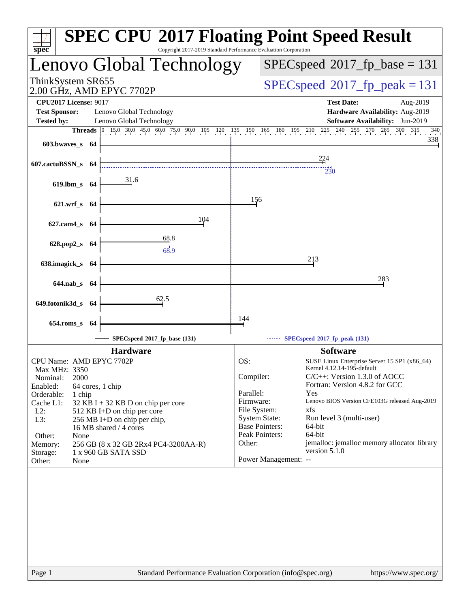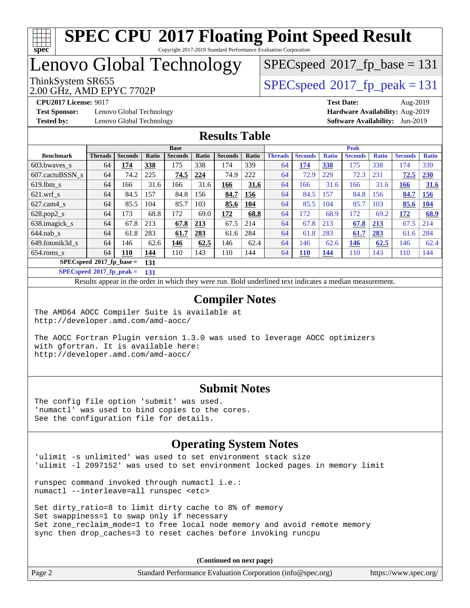# **[spec](http://www.spec.org/)**

## **[SPEC CPU](http://www.spec.org/auto/cpu2017/Docs/result-fields.html#SPECCPU2017FloatingPointSpeedResult)[2017 Floating Point Speed Result](http://www.spec.org/auto/cpu2017/Docs/result-fields.html#SPECCPU2017FloatingPointSpeedResult)**

Copyright 2017-2019 Standard Performance Evaluation Corporation

Lenovo Global Technology

 $SPECspeed*2017_fp\_base = 131$  $SPECspeed*2017_fp\_base = 131$ 

2.00 GHz, AMD EPYC 7702P ThinkSystem SR655<br>2.00 CU<sub>2</sub> AMD EDVC 7702D

**[Test Sponsor:](http://www.spec.org/auto/cpu2017/Docs/result-fields.html#TestSponsor)** Lenovo Global Technology **[Hardware Availability:](http://www.spec.org/auto/cpu2017/Docs/result-fields.html#HardwareAvailability)** Aug-2019 **[Tested by:](http://www.spec.org/auto/cpu2017/Docs/result-fields.html#Testedby)** Lenovo Global Technology **[Software Availability:](http://www.spec.org/auto/cpu2017/Docs/result-fields.html#SoftwareAvailability)** Jun-2019

**[CPU2017 License:](http://www.spec.org/auto/cpu2017/Docs/result-fields.html#CPU2017License)** 9017 **[Test Date:](http://www.spec.org/auto/cpu2017/Docs/result-fields.html#TestDate)** Aug-2019

#### **[Results Table](http://www.spec.org/auto/cpu2017/Docs/result-fields.html#ResultsTable)**

|                                   | <b>Base</b>    |                |       |                | <b>Peak</b> |                |       |                |                |              |                |              |                |              |
|-----------------------------------|----------------|----------------|-------|----------------|-------------|----------------|-------|----------------|----------------|--------------|----------------|--------------|----------------|--------------|
| <b>Benchmark</b>                  | <b>Threads</b> | <b>Seconds</b> | Ratio | <b>Seconds</b> | Ratio       | <b>Seconds</b> | Ratio | <b>Threads</b> | <b>Seconds</b> | <b>Ratio</b> | <b>Seconds</b> | <b>Ratio</b> | <b>Seconds</b> | <b>Ratio</b> |
| 603.bwayes s                      | 64             | 174            | 338   | 175            | 338         | 174            | 339   | 64             | 174            | <b>338</b>   | 175            | 338          | 174            | 339          |
| 607.cactuBSSN s                   | 64             | 74.2           | 225   | 74.5           | 224         | 74.9           | 222   | 64             | 72.9           | 229          | 72.3           | 231          | 72.5           | 230          |
| $619.1$ bm s                      | 64             | 166            | 31.6  | 166            | 31.6        | 166            | 31.6  | 64             | 166            | 31.6         | 166            | 31.6         | 166            | <b>31.6</b>  |
| $621$ .wrf s                      | 64             | 84.5           | 157   | 84.8           | 156         | 84.7           | 156   | 64             | 84.5           | 157          | 84.8           | 156          | 84.7           | <u>156</u>   |
| $627$ .cam4 s                     | 64             | 85.5           | 104   | 85.7           | 103         | 85.6           | 104   | 64             | 85.5           | 104          | 85.7           | 103          | 85.6           | <b>104</b>   |
| $628.pop2_s$                      | 64             | 173            | 68.8  | 172            | 69.0        | 172            | 68.8  | 64             | 172            | 68.9         | 172            | 69.2         | 172            | 68.9         |
| 638.imagick_s                     | 64             | 67.8           | 213   | 67.8           | 213         | 67.5           | 214   | 64             | 67.8           | 213          | 67.8           | 213          | 67.5           | 214          |
| $644$ .nab s                      | 64             | 61.8           | 283   | 61.7           | 283         | 61.6           | 284   | 64             | 61.8           | 283          | 61.7           | 283          | 61.6           | 284          |
| 649.fotonik3d s                   | 64             | 146            | 62.6  | 146            | 62.5        | 146            | 62.4  | 64             | 146            | 62.6         | 146            | 62.5         | 146            | 62.4         |
| $654$ .roms s                     | 64             | <b>110</b>     | 144   | 110            | 143         | 110            | 144   | 64             | <b>110</b>     | <u>144</u>   | 110            | 143          | 110            | 144          |
| $SPECspeed*2017$ fp base =<br>131 |                |                |       |                |             |                |       |                |                |              |                |              |                |              |

**[SPECspeed](http://www.spec.org/auto/cpu2017/Docs/result-fields.html#SPECspeed2017fppeak)[2017\\_fp\\_peak =](http://www.spec.org/auto/cpu2017/Docs/result-fields.html#SPECspeed2017fppeak) 131**

Results appear in the [order in which they were run.](http://www.spec.org/auto/cpu2017/Docs/result-fields.html#RunOrder) Bold underlined text [indicates a median measurement](http://www.spec.org/auto/cpu2017/Docs/result-fields.html#Median).

#### **[Compiler Notes](http://www.spec.org/auto/cpu2017/Docs/result-fields.html#CompilerNotes)**

The AMD64 AOCC Compiler Suite is available at <http://developer.amd.com/amd-aocc/>

The AOCC Fortran Plugin version 1.3.0 was used to leverage AOCC optimizers with gfortran. It is available here: <http://developer.amd.com/amd-aocc/>

#### **[Submit Notes](http://www.spec.org/auto/cpu2017/Docs/result-fields.html#SubmitNotes)**

The config file option 'submit' was used. 'numactl' was used to bind copies to the cores. See the configuration file for details.

#### **[Operating System Notes](http://www.spec.org/auto/cpu2017/Docs/result-fields.html#OperatingSystemNotes)**

'ulimit -s unlimited' was used to set environment stack size 'ulimit -l 2097152' was used to set environment locked pages in memory limit

runspec command invoked through numactl i.e.: numactl --interleave=all runspec <etc>

Set dirty ratio=8 to limit dirty cache to 8% of memory Set swappiness=1 to swap only if necessary Set zone\_reclaim\_mode=1 to free local node memory and avoid remote memory sync then drop\_caches=3 to reset caches before invoking runcpu

| Page 2 | Standard Performance Evaluation Corporation (info@spec.org) | https://www.spec.org/ |
|--------|-------------------------------------------------------------|-----------------------|
|        |                                                             |                       |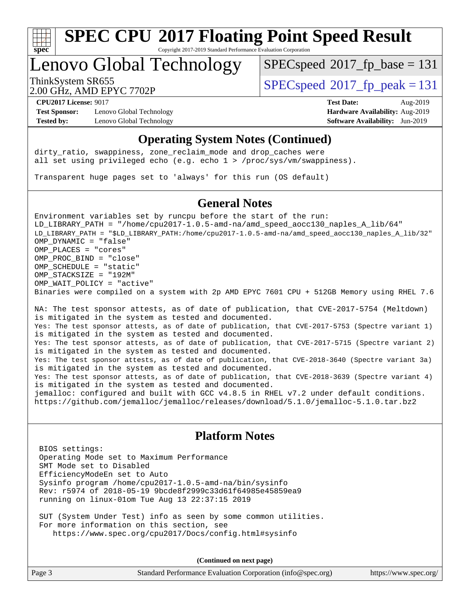

Copyright 2017-2019 Standard Performance Evaluation Corporation

## Lenovo Global Technology

 $SPEC speed$ <sup>®</sup> $2017$ \_fp\_base = 131

2.00 GHz, AMD EPYC 7702P

ThinkSystem SR655<br>2.00 CU<sub>2</sub> AMD EDVC 7702D

**[Test Sponsor:](http://www.spec.org/auto/cpu2017/Docs/result-fields.html#TestSponsor)** Lenovo Global Technology **[Hardware Availability:](http://www.spec.org/auto/cpu2017/Docs/result-fields.html#HardwareAvailability)** Aug-2019 **[Tested by:](http://www.spec.org/auto/cpu2017/Docs/result-fields.html#Testedby)** Lenovo Global Technology **[Software Availability:](http://www.spec.org/auto/cpu2017/Docs/result-fields.html#SoftwareAvailability)** Jun-2019

**[CPU2017 License:](http://www.spec.org/auto/cpu2017/Docs/result-fields.html#CPU2017License)** 9017 **[Test Date:](http://www.spec.org/auto/cpu2017/Docs/result-fields.html#TestDate)** Aug-2019

#### **[Operating System Notes \(Continued\)](http://www.spec.org/auto/cpu2017/Docs/result-fields.html#OperatingSystemNotes)**

dirty\_ratio, swappiness, zone\_reclaim\_mode and drop caches were all set using privileged echo (e.g. echo 1 > /proc/sys/vm/swappiness).

Transparent huge pages set to 'always' for this run (OS default)

#### **[General Notes](http://www.spec.org/auto/cpu2017/Docs/result-fields.html#GeneralNotes)**

Environment variables set by runcpu before the start of the run: LD\_LIBRARY\_PATH = "/home/cpu2017-1.0.5-amd-na/amd\_speed\_aocc130\_naples\_A\_lib/64" LD\_LIBRARY\_PATH = "\$LD\_LIBRARY\_PATH:/home/cpu2017-1.0.5-amd-na/amd\_speed\_aocc130\_naples\_A\_lib/32" OMP\_DYNAMIC = "false" OMP\_PLACES = "cores" OMP\_PROC\_BIND = "close" OMP\_SCHEDULE = "static" OMP\_STACKSIZE = "192M" OMP WAIT POLICY = "active" Binaries were compiled on a system with 2p AMD EPYC 7601 CPU + 512GB Memory using RHEL 7.6

NA: The test sponsor attests, as of date of publication, that CVE-2017-5754 (Meltdown) is mitigated in the system as tested and documented. Yes: The test sponsor attests, as of date of publication, that CVE-2017-5753 (Spectre variant 1) is mitigated in the system as tested and documented. Yes: The test sponsor attests, as of date of publication, that CVE-2017-5715 (Spectre variant 2) is mitigated in the system as tested and documented. Yes: The test sponsor attests, as of date of publication, that CVE-2018-3640 (Spectre variant 3a) is mitigated in the system as tested and documented. Yes: The test sponsor attests, as of date of publication, that CVE-2018-3639 (Spectre variant 4) is mitigated in the system as tested and documented. jemalloc: configured and built with GCC v4.8.5 in RHEL v7.2 under default conditions. <https://github.com/jemalloc/jemalloc/releases/download/5.1.0/jemalloc-5.1.0.tar.bz2>

#### **[Platform Notes](http://www.spec.org/auto/cpu2017/Docs/result-fields.html#PlatformNotes)**

 BIOS settings: Operating Mode set to Maximum Performance SMT Mode set to Disabled EfficiencyModeEn set to Auto Sysinfo program /home/cpu2017-1.0.5-amd-na/bin/sysinfo Rev: r5974 of 2018-05-19 9bcde8f2999c33d61f64985e45859ea9 running on linux-01om Tue Aug 13 22:37:15 2019

 SUT (System Under Test) info as seen by some common utilities. For more information on this section, see <https://www.spec.org/cpu2017/Docs/config.html#sysinfo>

| Page 3 | Standard Performance Evaluation Corporation (info@spec.org) | https://www.spec.org/ |
|--------|-------------------------------------------------------------|-----------------------|
|        |                                                             |                       |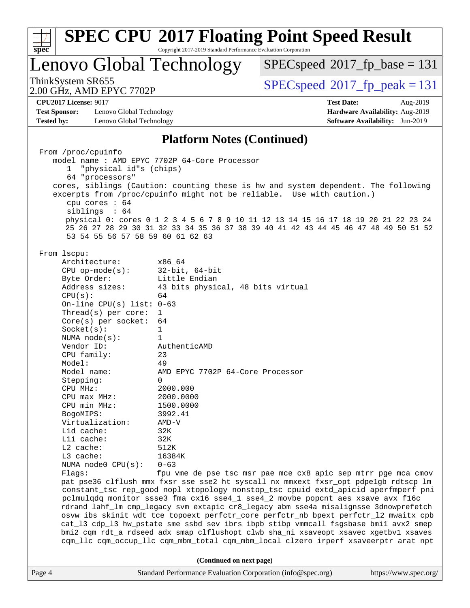| <b>SPEC CPU®2017 Floating Point Speed Result</b><br>Copyright 2017-2019 Standard Performance Evaluation Corporation<br>$spec^*$                                                                                                                                                                                                                                                                                                                                                                                                                                                                                                                                                                                                                                                                                    |                                                                                                                                                                                                                                                                                                                                                                                                                                                                                                                                                                                                                                                                                                                                                                                   |  |  |  |  |  |
|--------------------------------------------------------------------------------------------------------------------------------------------------------------------------------------------------------------------------------------------------------------------------------------------------------------------------------------------------------------------------------------------------------------------------------------------------------------------------------------------------------------------------------------------------------------------------------------------------------------------------------------------------------------------------------------------------------------------------------------------------------------------------------------------------------------------|-----------------------------------------------------------------------------------------------------------------------------------------------------------------------------------------------------------------------------------------------------------------------------------------------------------------------------------------------------------------------------------------------------------------------------------------------------------------------------------------------------------------------------------------------------------------------------------------------------------------------------------------------------------------------------------------------------------------------------------------------------------------------------------|--|--|--|--|--|
| Lenovo Global Technology                                                                                                                                                                                                                                                                                                                                                                                                                                                                                                                                                                                                                                                                                                                                                                                           | $SPEC speed^{\circ}2017$ fp base = 131                                                                                                                                                                                                                                                                                                                                                                                                                                                                                                                                                                                                                                                                                                                                            |  |  |  |  |  |
| ThinkSystem SR655<br>2.00 GHz, AMD EPYC 7702P                                                                                                                                                                                                                                                                                                                                                                                                                                                                                                                                                                                                                                                                                                                                                                      | $SPEC speed^{\circ}2017$ fp peak = 131                                                                                                                                                                                                                                                                                                                                                                                                                                                                                                                                                                                                                                                                                                                                            |  |  |  |  |  |
| <b>CPU2017 License: 9017</b><br><b>Test Sponsor:</b><br>Lenovo Global Technology<br>Lenovo Global Technology<br><b>Tested by:</b>                                                                                                                                                                                                                                                                                                                                                                                                                                                                                                                                                                                                                                                                                  | <b>Test Date:</b><br>Aug-2019<br>Hardware Availability: Aug-2019<br>Software Availability: Jun-2019                                                                                                                                                                                                                                                                                                                                                                                                                                                                                                                                                                                                                                                                               |  |  |  |  |  |
|                                                                                                                                                                                                                                                                                                                                                                                                                                                                                                                                                                                                                                                                                                                                                                                                                    | <b>Platform Notes (Continued)</b>                                                                                                                                                                                                                                                                                                                                                                                                                                                                                                                                                                                                                                                                                                                                                 |  |  |  |  |  |
| From /proc/cpuinfo<br>model name: AMD EPYC 7702P 64-Core Processor<br>"physical id"s (chips)<br>1<br>64 "processors"<br>cpu cores $: 64$<br>siblings : 64<br>53 54 55 56 57 58 59 60 61 62 63<br>From 1scpu:<br>Architecture:<br>x86_64<br>$CPU$ op-mode( $s$ ):<br>Byte Order:<br>Address sizes:<br>CPU(s):<br>64<br>On-line CPU(s) list: $0-63$<br>Thread(s) per core:<br>1<br>$Core(s)$ per socket:<br>64<br>Socket(s):<br>1<br>NUMA $node(s):$<br>$\mathbf{1}$<br>Vendor ID:<br>AuthenticAMD<br>CPU family:<br>23<br>49<br>Model:<br>Model name:<br>Stepping:<br>$\Omega$<br>2000.000<br>CPU MHz:<br>2000.0000<br>$CPU$ max $MHz$ :<br>CPU min MHz:<br>1500.0000<br>BogoMIPS:<br>3992.41<br>Virtualization:<br>$AMD-V$<br>L1d cache:<br>32K<br>Lli cache:<br>32K<br>$L2$ cache:<br>512K<br>L3 cache:<br>16384K | cores, siblings (Caution: counting these is hw and system dependent. The following<br>excerpts from /proc/cpuinfo might not be reliable. Use with caution.)<br>physical 0: cores 0 1 2 3 4 5 6 7 8 9 10 11 12 13 14 15 16 17 18 19 20 21 22 23 24<br>25 26 27 28 29 30 31 32 33 34 35 36 37 38 39 40 41 42 43 44 45 46 47 48 49 50 51 52<br>$32$ -bit, $64$ -bit<br>Little Endian<br>43 bits physical, 48 bits virtual<br>AMD EPYC 7702P 64-Core Processor                                                                                                                                                                                                                                                                                                                        |  |  |  |  |  |
| NUMA node0 CPU(s):<br>$0 - 63$<br>Flags:                                                                                                                                                                                                                                                                                                                                                                                                                                                                                                                                                                                                                                                                                                                                                                           | fpu vme de pse tsc msr pae mce cx8 apic sep mtrr pge mca cmov<br>pat pse36 clflush mmx fxsr sse sse2 ht syscall nx mmxext fxsr_opt pdpe1gb rdtscp lm<br>constant_tsc rep_good nopl xtopology nonstop_tsc cpuid extd_apicid aperfmperf pni<br>pclmulqdq monitor ssse3 fma cx16 sse4_1 sse4_2 movbe popcnt aes xsave avx f16c<br>rdrand lahf_lm cmp_legacy svm extapic cr8_legacy abm sse4a misalignsse 3dnowprefetch<br>osvw ibs skinit wdt tce topoext perfctr_core perfctr_nb bpext perfctr_12 mwaitx cpb<br>cat_13 cdp_13 hw_pstate sme ssbd sev ibrs ibpb stibp vmmcall fsgsbase bmil avx2 smep<br>bmi2 cqm rdt_a rdseed adx smap clflushopt clwb sha_ni xsaveopt xsavec xgetbvl xsaves<br>cqm_llc cqm_occup_llc cqm_mbm_total cqm_mbm_local clzero irperf xsaveerptr arat npt |  |  |  |  |  |
|                                                                                                                                                                                                                                                                                                                                                                                                                                                                                                                                                                                                                                                                                                                                                                                                                    | (Continued on next page)                                                                                                                                                                                                                                                                                                                                                                                                                                                                                                                                                                                                                                                                                                                                                          |  |  |  |  |  |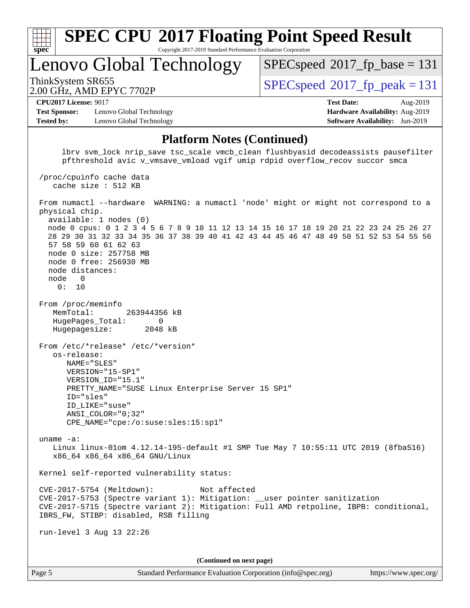| u | L. | t |  |
|---|----|---|--|

Copyright 2017-2019 Standard Performance Evaluation Corporation

Lenovo Global Technology

[SPECspeed](http://www.spec.org/auto/cpu2017/Docs/result-fields.html#SPECspeed2017fpbase)<sup>®</sup>2017 fp base = 131

2.00 GHz, AMD EPYC 7702P

ThinkSystem SR655<br>2.00 CU<sub>7</sub> AMD EDVC 7702D

**[CPU2017 License:](http://www.spec.org/auto/cpu2017/Docs/result-fields.html#CPU2017License)** 9017 **[Test Date:](http://www.spec.org/auto/cpu2017/Docs/result-fields.html#TestDate)** Aug-2019

**[Test Sponsor:](http://www.spec.org/auto/cpu2017/Docs/result-fields.html#TestSponsor)** Lenovo Global Technology **[Hardware Availability:](http://www.spec.org/auto/cpu2017/Docs/result-fields.html#HardwareAvailability)** Aug-2019 **[Tested by:](http://www.spec.org/auto/cpu2017/Docs/result-fields.html#Testedby)** Lenovo Global Technology **[Software Availability:](http://www.spec.org/auto/cpu2017/Docs/result-fields.html#SoftwareAvailability)** Jun-2019

#### **[Platform Notes \(Continued\)](http://www.spec.org/auto/cpu2017/Docs/result-fields.html#PlatformNotes)**

lbry sym\_lock nrip\_save\_tsc\_scale\_vmcb\_clean flushbyasid decodeassists pausefilter pfthreshold avic v\_vmsave\_vmload vgif umip rdpid overflow\_recov succor smca /proc/cpuinfo cache data cache size : 512 KB From numactl --hardware WARNING: a numactl 'node' might or might not correspond to a physical chip. available: 1 nodes (0) node 0 cpus: 0 1 2 3 4 5 6 7 8 9 10 11 12 13 14 15 16 17 18 19 20 21 22 23 24 25 26 27 28 29 30 31 32 33 34 35 36 37 38 39 40 41 42 43 44 45 46 47 48 49 50 51 52 53 54 55 56 57 58 59 60 61 62 63 node 0 size: 257758 MB node 0 free: 256930 MB node distances: node 0 0: 10 From /proc/meminfo MemTotal: 263944356 kB HugePages\_Total: 0 Hugepagesize: 2048 kB From /etc/\*release\* /etc/\*version\* os-release: NAME="SLES" VERSION="15-SP1" VERSION\_ID="15.1" PRETTY\_NAME="SUSE Linux Enterprise Server 15 SP1" ID="sles" ID\_LIKE="suse" ANSI\_COLOR="0;32" CPE\_NAME="cpe:/o:suse:sles:15:sp1" uname -a: Linux linux-01om 4.12.14-195-default #1 SMP Tue May 7 10:55:11 UTC 2019 (8fba516) x86\_64 x86\_64 x86\_64 GNU/Linux Kernel self-reported vulnerability status: CVE-2017-5754 (Meltdown): Not affected CVE-2017-5753 (Spectre variant 1): Mitigation: \_\_user pointer sanitization CVE-2017-5715 (Spectre variant 2): Mitigation: Full AMD retpoline, IBPB: conditional, IBRS\_FW, STIBP: disabled, RSB filling run-level 3 Aug 13 22:26 **(Continued on next page)**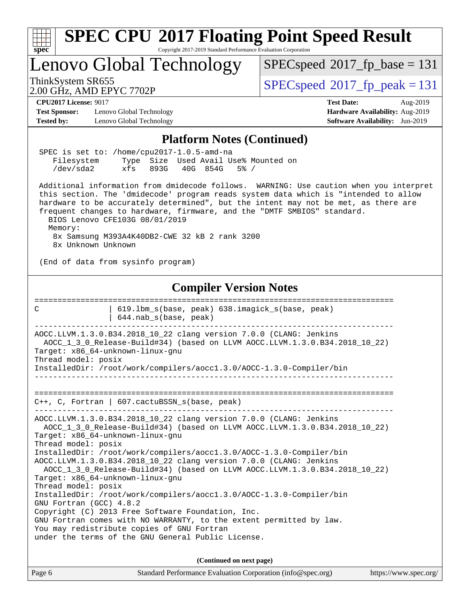| <b>SPEC CPU®2017 Floating Point Speed Result</b><br>spec<br>Copyright 2017-2019 Standard Performance Evaluation Corporation                                                                                                                                                                                                                                                                 |                                                                                             |  |  |  |  |  |
|---------------------------------------------------------------------------------------------------------------------------------------------------------------------------------------------------------------------------------------------------------------------------------------------------------------------------------------------------------------------------------------------|---------------------------------------------------------------------------------------------|--|--|--|--|--|
| Lenovo Global Technology                                                                                                                                                                                                                                                                                                                                                                    | $SPEC speed^{\circ}2017$ fp base = 131                                                      |  |  |  |  |  |
| ThinkSystem SR655<br>2.00 GHz, AMD EPYC 7702P                                                                                                                                                                                                                                                                                                                                               | $SPEC speed^{\circ}2017$ fp peak = 131                                                      |  |  |  |  |  |
| <b>CPU2017 License: 9017</b>                                                                                                                                                                                                                                                                                                                                                                | <b>Test Date:</b><br>Aug-2019                                                               |  |  |  |  |  |
| <b>Test Sponsor:</b><br>Lenovo Global Technology<br><b>Tested by:</b><br>Lenovo Global Technology                                                                                                                                                                                                                                                                                           | Hardware Availability: Aug-2019<br><b>Software Availability:</b> Jun-2019                   |  |  |  |  |  |
|                                                                                                                                                                                                                                                                                                                                                                                             |                                                                                             |  |  |  |  |  |
| <b>Platform Notes (Continued)</b>                                                                                                                                                                                                                                                                                                                                                           |                                                                                             |  |  |  |  |  |
| SPEC is set to: /home/cpu2017-1.0.5-amd-na<br>Type Size Used Avail Use% Mounted on<br>Filesystem<br>/dev/sda2<br>$xfs$ 893G<br>40G 854G<br>$5\%$ /                                                                                                                                                                                                                                          |                                                                                             |  |  |  |  |  |
| Additional information from dmidecode follows. WARNING: Use caution when you interpret<br>this section. The 'dmidecode' program reads system data which is "intended to allow<br>hardware to be accurately determined", but the intent may not be met, as there are<br>frequent changes to hardware, firmware, and the "DMTF SMBIOS" standard.<br>BIOS Lenovo CFE103G 08/01/2019<br>Memory: |                                                                                             |  |  |  |  |  |
| 8x Samsung M393A4K40DB2-CWE 32 kB 2 rank 3200<br>8x Unknown Unknown                                                                                                                                                                                                                                                                                                                         |                                                                                             |  |  |  |  |  |
| (End of data from sysinfo program)                                                                                                                                                                                                                                                                                                                                                          |                                                                                             |  |  |  |  |  |
| <b>Compiler Version Notes</b>                                                                                                                                                                                                                                                                                                                                                               | :====================                                                                       |  |  |  |  |  |
| 619.1bm_s(base, peak) 638.imagick_s(base, peak)<br>C<br>644.nab_s(base, peak)                                                                                                                                                                                                                                                                                                               |                                                                                             |  |  |  |  |  |
| AOCC.LLVM.1.3.0.B34.2018_10_22 clang version 7.0.0 (CLANG: Jenkins<br>AOCC_1_3_0_Release-Build#34) (based on LLVM AOCC.LLVM.1.3.0.B34.2018_10_22)<br>Target: x86_64-unknown-linux-gnu<br>Thread model: posix                                                                                                                                                                                |                                                                                             |  |  |  |  |  |
| InstalledDir: /root/work/compilers/aoccl.3.0/AOCC-1.3.0-Compiler/bin                                                                                                                                                                                                                                                                                                                        |                                                                                             |  |  |  |  |  |
|                                                                                                                                                                                                                                                                                                                                                                                             |                                                                                             |  |  |  |  |  |
| $C++$ , C, Fortran   607.cactuBSSN_s(base, peak)                                                                                                                                                                                                                                                                                                                                            |                                                                                             |  |  |  |  |  |
| AOCC.LLVM.1.3.0.B34.2018_10_22 clang version 7.0.0 (CLANG: Jenkins<br>AOCC_1_3_0_Release-Build#34) (based on LLVM AOCC.LLVM.1.3.0.B34.2018_10_22)<br>Target: x86_64-unknown-linux-gnu<br>Thread model: posix                                                                                                                                                                                |                                                                                             |  |  |  |  |  |
| InstalledDir: /root/work/compilers/aoccl.3.0/AOCC-1.3.0-Compiler/bin<br>AOCC.LLVM.1.3.0.B34.2018_10_22 clang version 7.0.0 (CLANG: Jenkins<br>AOCC_1_3_0_Release-Build#34) (based on LLVM AOCC.LLVM.1.3.0.B34.2018_10_22)<br>Target: x86_64-unknown-linux-gnu                                                                                                                               |                                                                                             |  |  |  |  |  |
| GNU Fortran (GCC) 4.8.2                                                                                                                                                                                                                                                                                                                                                                     | Thread model: posix<br>InstalledDir: /root/work/compilers/aoccl.3.0/AOCC-1.3.0-Compiler/bin |  |  |  |  |  |
| Copyright (C) 2013 Free Software Foundation, Inc.<br>GNU Fortran comes with NO WARRANTY, to the extent permitted by law.                                                                                                                                                                                                                                                                    |                                                                                             |  |  |  |  |  |
| You may redistribute copies of GNU Fortran<br>under the terms of the GNU General Public License.                                                                                                                                                                                                                                                                                            |                                                                                             |  |  |  |  |  |
| (Continued on next page)                                                                                                                                                                                                                                                                                                                                                                    |                                                                                             |  |  |  |  |  |
| Page 6<br>Standard Performance Evaluation Corporation (info@spec.org)                                                                                                                                                                                                                                                                                                                       | https://www.spec.org/                                                                       |  |  |  |  |  |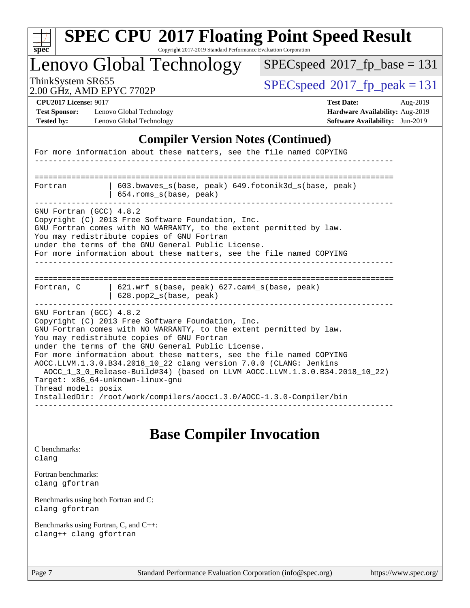|                                                                                           | Lenovo Global Technology                                                                                                                                                                                                                                                                                                  | $SPEC speed^{\circ}2017\_fp\_base = 131$                                                                   |  |  |
|-------------------------------------------------------------------------------------------|---------------------------------------------------------------------------------------------------------------------------------------------------------------------------------------------------------------------------------------------------------------------------------------------------------------------------|------------------------------------------------------------------------------------------------------------|--|--|
| ThinkSystem SR655                                                                         | 2.00 GHz, AMD EPYC 7702P                                                                                                                                                                                                                                                                                                  | $SPEC speed^{\circ}2017$ _fp_peak = 131                                                                    |  |  |
| <b>CPU2017 License: 9017</b><br><b>Test Sponsor:</b><br><b>Tested by:</b>                 | Lenovo Global Technology<br>Lenovo Global Technology                                                                                                                                                                                                                                                                      | <b>Test Date:</b><br>Aug-2019<br>Hardware Availability: Aug-2019<br><b>Software Availability:</b> Jun-2019 |  |  |
|                                                                                           | <b>Compiler Version Notes (Continued)</b>                                                                                                                                                                                                                                                                                 |                                                                                                            |  |  |
|                                                                                           | For more information about these matters, see the file named COPYING                                                                                                                                                                                                                                                      |                                                                                                            |  |  |
|                                                                                           |                                                                                                                                                                                                                                                                                                                           |                                                                                                            |  |  |
| 603.bwaves_s(base, peak) 649.fotonik3d_s(base, peak)<br>Fortran<br>654.roms_s(base, peak) |                                                                                                                                                                                                                                                                                                                           |                                                                                                            |  |  |
|                                                                                           | Copyright (C) 2013 Free Software Foundation, Inc.                                                                                                                                                                                                                                                                         |                                                                                                            |  |  |
| GNU Fortran (GCC) 4.8.2<br>Fortran, C                                                     | GNU Fortran comes with NO WARRANTY, to the extent permitted by law.<br>You may redistribute copies of GNU Fortran<br>under the terms of the GNU General Public License.<br>For more information about these matters, see the file named COPYING<br>621.wrf_s(base, peak) 627.cam4_s(base, peak)<br>628.pop2_s(base, peak) |                                                                                                            |  |  |

## **[Base Compiler Invocation](http://www.spec.org/auto/cpu2017/Docs/result-fields.html#BaseCompilerInvocation)**

[C benchmarks](http://www.spec.org/auto/cpu2017/Docs/result-fields.html#Cbenchmarks): [clang](http://www.spec.org/cpu2017/results/res2019q3/cpu2017-20190819-16957.flags.html#user_CCbase_clang-c)

[Fortran benchmarks](http://www.spec.org/auto/cpu2017/Docs/result-fields.html#Fortranbenchmarks): [clang](http://www.spec.org/cpu2017/results/res2019q3/cpu2017-20190819-16957.flags.html#user_FCbase_clang-c) [gfortran](http://www.spec.org/cpu2017/results/res2019q3/cpu2017-20190819-16957.flags.html#user_FCbase_aocc-gfortran_128c91a56d61ddb07404721e65b8f9498c31a443dacbd3b7f212891090eca86e2d099b520f75b99e9e8ac4fdec01f4d15f0b65e47123ec4c42b0759045731a1f)

[Benchmarks using both Fortran and C](http://www.spec.org/auto/cpu2017/Docs/result-fields.html#BenchmarksusingbothFortranandC): [clang](http://www.spec.org/cpu2017/results/res2019q3/cpu2017-20190819-16957.flags.html#user_CC_FCbase_clang-c) [gfortran](http://www.spec.org/cpu2017/results/res2019q3/cpu2017-20190819-16957.flags.html#user_CC_FCbase_aocc-gfortran_128c91a56d61ddb07404721e65b8f9498c31a443dacbd3b7f212891090eca86e2d099b520f75b99e9e8ac4fdec01f4d15f0b65e47123ec4c42b0759045731a1f)

[Benchmarks using Fortran, C, and C++:](http://www.spec.org/auto/cpu2017/Docs/result-fields.html#BenchmarksusingFortranCandCXX) [clang++](http://www.spec.org/cpu2017/results/res2019q3/cpu2017-20190819-16957.flags.html#user_CC_CXX_FCbase_clang-cpp) [clang](http://www.spec.org/cpu2017/results/res2019q3/cpu2017-20190819-16957.flags.html#user_CC_CXX_FCbase_clang-c) [gfortran](http://www.spec.org/cpu2017/results/res2019q3/cpu2017-20190819-16957.flags.html#user_CC_CXX_FCbase_aocc-gfortran_128c91a56d61ddb07404721e65b8f9498c31a443dacbd3b7f212891090eca86e2d099b520f75b99e9e8ac4fdec01f4d15f0b65e47123ec4c42b0759045731a1f)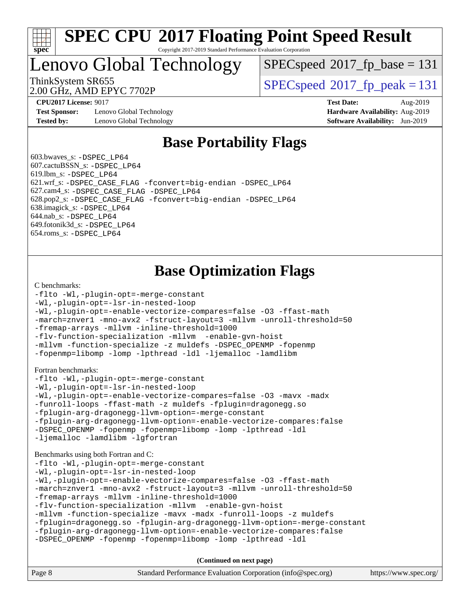

Copyright 2017-2019 Standard Performance Evaluation Corporation

Lenovo Global Technology

[SPECspeed](http://www.spec.org/auto/cpu2017/Docs/result-fields.html#SPECspeed2017fpbase)<sup>®</sup>2017 fp base = 131

2.00 GHz, AMD EPYC 7702P

ThinkSystem SR655<br>2.00 CU<sub>2</sub> AMD EDVC 7702D

**[Test Sponsor:](http://www.spec.org/auto/cpu2017/Docs/result-fields.html#TestSponsor)** Lenovo Global Technology **[Hardware Availability:](http://www.spec.org/auto/cpu2017/Docs/result-fields.html#HardwareAvailability)** Aug-2019 **[Tested by:](http://www.spec.org/auto/cpu2017/Docs/result-fields.html#Testedby)** Lenovo Global Technology **[Software Availability:](http://www.spec.org/auto/cpu2017/Docs/result-fields.html#SoftwareAvailability)** Jun-2019

**[CPU2017 License:](http://www.spec.org/auto/cpu2017/Docs/result-fields.html#CPU2017License)** 9017 **[Test Date:](http://www.spec.org/auto/cpu2017/Docs/result-fields.html#TestDate)** Aug-2019

### **[Base Portability Flags](http://www.spec.org/auto/cpu2017/Docs/result-fields.html#BasePortabilityFlags)**

 603.bwaves\_s: [-DSPEC\\_LP64](http://www.spec.org/cpu2017/results/res2019q3/cpu2017-20190819-16957.flags.html#suite_baseEXTRA_PORTABILITY603_bwaves_s_DSPEC_LP64) 607.cactuBSSN\_s: [-DSPEC\\_LP64](http://www.spec.org/cpu2017/results/res2019q3/cpu2017-20190819-16957.flags.html#suite_baseEXTRA_PORTABILITY607_cactuBSSN_s_DSPEC_LP64) 619.lbm\_s: [-DSPEC\\_LP64](http://www.spec.org/cpu2017/results/res2019q3/cpu2017-20190819-16957.flags.html#suite_baseEXTRA_PORTABILITY619_lbm_s_DSPEC_LP64) 621.wrf\_s: [-DSPEC\\_CASE\\_FLAG](http://www.spec.org/cpu2017/results/res2019q3/cpu2017-20190819-16957.flags.html#b621.wrf_s_baseCPORTABILITY_DSPEC_CASE_FLAG) [-fconvert=big-endian](http://www.spec.org/cpu2017/results/res2019q3/cpu2017-20190819-16957.flags.html#user_baseFPORTABILITY621_wrf_s_F-fconvert) [-DSPEC\\_LP64](http://www.spec.org/cpu2017/results/res2019q3/cpu2017-20190819-16957.flags.html#suite_baseEXTRA_PORTABILITY621_wrf_s_DSPEC_LP64) 627.cam4\_s: [-DSPEC\\_CASE\\_FLAG](http://www.spec.org/cpu2017/results/res2019q3/cpu2017-20190819-16957.flags.html#b627.cam4_s_basePORTABILITY_DSPEC_CASE_FLAG) [-DSPEC\\_LP64](http://www.spec.org/cpu2017/results/res2019q3/cpu2017-20190819-16957.flags.html#suite_baseEXTRA_PORTABILITY627_cam4_s_DSPEC_LP64) 628.pop2\_s: [-DSPEC\\_CASE\\_FLAG](http://www.spec.org/cpu2017/results/res2019q3/cpu2017-20190819-16957.flags.html#b628.pop2_s_baseCPORTABILITY_DSPEC_CASE_FLAG) [-fconvert=big-endian](http://www.spec.org/cpu2017/results/res2019q3/cpu2017-20190819-16957.flags.html#user_baseFPORTABILITY628_pop2_s_F-fconvert) [-DSPEC\\_LP64](http://www.spec.org/cpu2017/results/res2019q3/cpu2017-20190819-16957.flags.html#suite_baseEXTRA_PORTABILITY628_pop2_s_DSPEC_LP64) 638.imagick\_s: [-DSPEC\\_LP64](http://www.spec.org/cpu2017/results/res2019q3/cpu2017-20190819-16957.flags.html#suite_baseEXTRA_PORTABILITY638_imagick_s_DSPEC_LP64) 644.nab\_s: [-DSPEC\\_LP64](http://www.spec.org/cpu2017/results/res2019q3/cpu2017-20190819-16957.flags.html#suite_baseEXTRA_PORTABILITY644_nab_s_DSPEC_LP64) 649.fotonik3d\_s: [-DSPEC\\_LP64](http://www.spec.org/cpu2017/results/res2019q3/cpu2017-20190819-16957.flags.html#suite_baseEXTRA_PORTABILITY649_fotonik3d_s_DSPEC_LP64) 654.roms\_s: [-DSPEC\\_LP64](http://www.spec.org/cpu2017/results/res2019q3/cpu2017-20190819-16957.flags.html#suite_baseEXTRA_PORTABILITY654_roms_s_DSPEC_LP64)

### **[Base Optimization Flags](http://www.spec.org/auto/cpu2017/Docs/result-fields.html#BaseOptimizationFlags)**

#### [C benchmarks](http://www.spec.org/auto/cpu2017/Docs/result-fields.html#Cbenchmarks):

```
-flto -Wl,-plugin-opt=-merge-constant
-Wl,-plugin-opt=-lsr-in-nested-loop
-Wl,-plugin-opt=-enable-vectorize-compares=false -O3 -ffast-math
-march=znver1 -mno-avx2 -fstruct-layout=3 -mllvm -unroll-threshold=50
-fremap-arrays -mllvm -inline-threshold=1000
-flv-function-specialization -mllvm -enable-gvn-hoist
-mllvm -function-specialize -z muldefs -DSPEC_OPENMP -fopenmp
-fopenmp=libomp -lomp -lpthread -ldl -ljemalloc -lamdlibm
Fortran benchmarks: 
-flto -Wl,-plugin-opt=-merge-constant
-Wl,-plugin-opt=-lsr-in-nested-loop
-Wl,-plugin-opt=-enable-vectorize-compares=false -O3 -mavx -madx
-funroll-loops -ffast-math -z muldefs -fplugin=dragonegg.so
-fplugin-arg-dragonegg-llvm-option=-merge-constant
-fplugin-arg-dragonegg-llvm-option=-enable-vectorize-compares:false
-DSPEC_OPENMP -fopenmp -fopenmp=libomp -lomp -lpthread -ldl
-ljemalloc -lamdlibm -lgfortran
Benchmarks using both Fortran and C: 
-flto -Wl,-plugin-opt=-merge-constant
-Wl,-plugin-opt=-lsr-in-nested-loop
-Wl,-plugin-opt=-enable-vectorize-compares=false -O3 -ffast-math
-march=znver1 -mno-avx2 -fstruct-layout=3 -mllvm -unroll-threshold=50
-fremap-arrays -mllvm -inline-threshold=1000
-flv-function-specialization -mllvm -enable-gvn-hoist
-mllvm -function-specialize -mavx -madx -funroll-loops -z muldefs
-fplugin=dragonegg.so -fplugin-arg-dragonegg-llvm-option=-merge-constant
-fplugin-arg-dragonegg-llvm-option=-enable-vectorize-compares:false
-DSPEC_OPENMP -fopenmp -fopenmp=libomp -lomp -lpthread -ldl
```

| Page 8 | Standard Performance Evaluation Corporation (info@spec.org) | https://www.spec.org/ |
|--------|-------------------------------------------------------------|-----------------------|
|--------|-------------------------------------------------------------|-----------------------|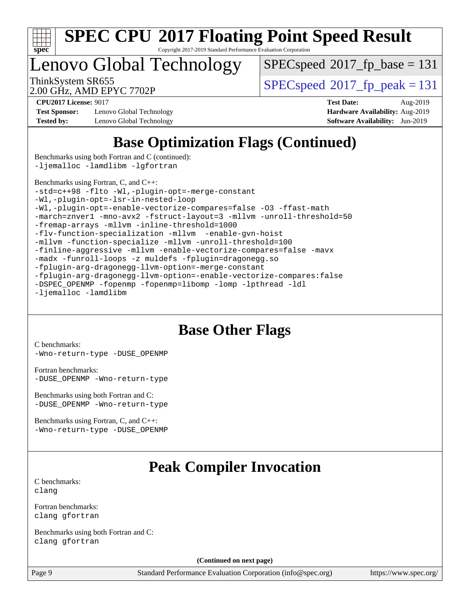

Copyright 2017-2019 Standard Performance Evaluation Corporation

Lenovo Global Technology

[SPECspeed](http://www.spec.org/auto/cpu2017/Docs/result-fields.html#SPECspeed2017fpbase)<sup>®</sup>2017 fp base = 131

2.00 GHz, AMD EPYC 7702P

ThinkSystem SR655<br>2.00 CU<sub>7</sub> AMD EDVC 7702D

**[Test Sponsor:](http://www.spec.org/auto/cpu2017/Docs/result-fields.html#TestSponsor)** Lenovo Global Technology **[Hardware Availability:](http://www.spec.org/auto/cpu2017/Docs/result-fields.html#HardwareAvailability)** Aug-2019 **[Tested by:](http://www.spec.org/auto/cpu2017/Docs/result-fields.html#Testedby)** Lenovo Global Technology **[Software Availability:](http://www.spec.org/auto/cpu2017/Docs/result-fields.html#SoftwareAvailability)** Jun-2019

**[CPU2017 License:](http://www.spec.org/auto/cpu2017/Docs/result-fields.html#CPU2017License)** 9017 **[Test Date:](http://www.spec.org/auto/cpu2017/Docs/result-fields.html#TestDate)** Aug-2019

### **[Base Optimization Flags \(Continued\)](http://www.spec.org/auto/cpu2017/Docs/result-fields.html#BaseOptimizationFlags)**

[Benchmarks using both Fortran and C](http://www.spec.org/auto/cpu2017/Docs/result-fields.html#BenchmarksusingbothFortranandC) (continued): [-ljemalloc](http://www.spec.org/cpu2017/results/res2019q3/cpu2017-20190819-16957.flags.html#user_CC_FCbase_jemalloc-lib) [-lamdlibm](http://www.spec.org/cpu2017/results/res2019q3/cpu2017-20190819-16957.flags.html#user_CC_FCbase_F-lamdlibm) [-lgfortran](http://www.spec.org/cpu2017/results/res2019q3/cpu2017-20190819-16957.flags.html#user_CC_FCbase_F-lgfortran)

[Benchmarks using Fortran, C, and C++:](http://www.spec.org/auto/cpu2017/Docs/result-fields.html#BenchmarksusingFortranCandCXX)

[-std=c++98](http://www.spec.org/cpu2017/results/res2019q3/cpu2017-20190819-16957.flags.html#user_CC_CXX_FCbase_std-cpp) [-flto](http://www.spec.org/cpu2017/results/res2019q3/cpu2017-20190819-16957.flags.html#user_CC_CXX_FCbase_aocc-flto) [-Wl,-plugin-opt=-merge-constant](http://www.spec.org/cpu2017/results/res2019q3/cpu2017-20190819-16957.flags.html#user_CC_CXX_FCbase_F-merge-constant_1d79771b5442061d9c8e05556c6b0c655e6c9e66f8c6936b0129d434b6acd2b1cf1b7cd2540d1570ff636111b08a6bc36e2e61fc34531f8ef7c1a34c57be1dbb) [-Wl,-plugin-opt=-lsr-in-nested-loop](http://www.spec.org/cpu2017/results/res2019q3/cpu2017-20190819-16957.flags.html#user_CC_CXX_FCbase_lsr-in-nested-loop_1cff93fd95162f5e77640b5271e8bed680fb62b4a8d96fb8ab217ff3244646f1fbb342e31af83c263403bbf5249c7dc7732d5c86c3eab4cc8d32dcb7a6f33ca0) [-Wl,-plugin-opt=-enable-vectorize-compares=false](http://www.spec.org/cpu2017/results/res2019q3/cpu2017-20190819-16957.flags.html#user_CC_CXX_FCbase_disable-vectorize-compares_b853f8418a42cc06a425f4a16db6b380d14e00519cd0324381fbe3b5fed198752fe9eb4cd4ff428f878821db69d9c031475f4f5f073a0fc0b0734450034716e8) [-O3](http://www.spec.org/cpu2017/results/res2019q3/cpu2017-20190819-16957.flags.html#user_CC_CXX_FCbase_F-O3) [-ffast-math](http://www.spec.org/cpu2017/results/res2019q3/cpu2017-20190819-16957.flags.html#user_CC_CXX_FCbase_aocc-ffast-math) [-march=znver1](http://www.spec.org/cpu2017/results/res2019q3/cpu2017-20190819-16957.flags.html#user_CC_CXX_FCbase_aocc-march) [-mno-avx2](http://www.spec.org/cpu2017/results/res2019q3/cpu2017-20190819-16957.flags.html#user_CC_CXX_FCbase_F-mno-avx2) [-fstruct-layout=3](http://www.spec.org/cpu2017/results/res2019q3/cpu2017-20190819-16957.flags.html#user_CC_CXX_FCbase_struct-layout) [-mllvm -unroll-threshold=50](http://www.spec.org/cpu2017/results/res2019q3/cpu2017-20190819-16957.flags.html#user_CC_CXX_FCbase_unroll-threshold_458874500b2c105d6d5cb4d7a611c40e2b16e9e3d26b355fea72d644c3673b4de4b3932662f0ed3dbec75c491a13da2d2ca81180bd779dc531083ef1e1e549dc) [-fremap-arrays](http://www.spec.org/cpu2017/results/res2019q3/cpu2017-20190819-16957.flags.html#user_CC_CXX_FCbase_F-fremap-arrays) [-mllvm -inline-threshold=1000](http://www.spec.org/cpu2017/results/res2019q3/cpu2017-20190819-16957.flags.html#user_CC_CXX_FCbase_dragonegg-llvm-inline-threshold_b7832241b0a6397e4ecdbaf0eb7defdc10f885c2a282fa3240fdc99844d543fda39cf8a4a9dccf68cf19b5438ac3b455264f478df15da0f4988afa40d8243bab) [-flv-function-specialization](http://www.spec.org/cpu2017/results/res2019q3/cpu2017-20190819-16957.flags.html#user_CC_CXX_FCbase_F-flv-function-specialization) [-mllvm -enable-gvn-hoist](http://www.spec.org/cpu2017/results/res2019q3/cpu2017-20190819-16957.flags.html#user_CC_CXX_FCbase_F-enable-gvn-hoist_98f0171d4f818d7f97896885cc39145d9c6ec6ecaa45bb289c3a12839072136e4af160d9bd95e903e60fee72c4a35db75799b8a57e2b8d1ccd3b6c61417e660c) [-mllvm -function-specialize](http://www.spec.org/cpu2017/results/res2019q3/cpu2017-20190819-16957.flags.html#user_CC_CXX_FCbase_function-specialize_233b3bdba86027f1b094368157e481c5bc59f40286dc25bfadc1858dcd5745c24fd30d5f188710db7fea399bcc9f44a80b3ce3aacc70a8870250c3ae5e1f35b8) [-mllvm -unroll-threshold=100](http://www.spec.org/cpu2017/results/res2019q3/cpu2017-20190819-16957.flags.html#user_CC_CXX_FCbase_unroll-threshold_2755d0c78138845d361fa1543e3a063fffa198df9b3edf0cfb856bbc88a81e1769b12ac7a550c5d35197be55360db1a3f95a8d1304df999456cabf5120c45168) [-finline-aggressive](http://www.spec.org/cpu2017/results/res2019q3/cpu2017-20190819-16957.flags.html#user_CC_CXX_FCbase_F-finline-aggressive) [-mllvm -enable-vectorize-compares=false](http://www.spec.org/cpu2017/results/res2019q3/cpu2017-20190819-16957.flags.html#user_CC_CXX_FCbase_disable-vectorize-compares_744e96dfaf0e6a0a8f558ad1f5117f7c029494e749ba2ce0369b998eced2f14f36c9acf9c44ff6efbd2349df21357d03f05694bcf5c1bda7e49ae93e191b7f84) [-mavx](http://www.spec.org/cpu2017/results/res2019q3/cpu2017-20190819-16957.flags.html#user_CC_CXX_FCbase_F-mavx) [-madx](http://www.spec.org/cpu2017/results/res2019q3/cpu2017-20190819-16957.flags.html#user_CC_CXX_FCbase_F-madx) [-funroll-loops](http://www.spec.org/cpu2017/results/res2019q3/cpu2017-20190819-16957.flags.html#user_CC_CXX_FCbase_aocc-unroll-loops) [-z muldefs](http://www.spec.org/cpu2017/results/res2019q3/cpu2017-20190819-16957.flags.html#user_CC_CXX_FCbase_aocc-muldefs) [-fplugin=dragonegg.so](http://www.spec.org/cpu2017/results/res2019q3/cpu2017-20190819-16957.flags.html#user_CC_CXX_FCbase_plugin-DragonEgg) [-fplugin-arg-dragonegg-llvm-option=-merge-constant](http://www.spec.org/cpu2017/results/res2019q3/cpu2017-20190819-16957.flags.html#user_CC_CXX_FCbase_F-merge-constant_37fd66d07a4fbae8f1b816e843c3ed1ebaa48f794b65ea8be746a1880566a3d23eba4a3c37b5c024650311adcf9247c62af28144803b3729b14be14423fa5142) [-fplugin-arg-dragonegg-llvm-option=-enable-vectorize-compares:false](http://www.spec.org/cpu2017/results/res2019q3/cpu2017-20190819-16957.flags.html#user_CC_CXX_FCbase_disable-vectorize-compares_d4094b735d9772f5001bab891b2a0f9b1e0f937da6fdfe4e9819ace3776bcc13a4b4fcd9a28f53dc5d73dd9ab9700532467376ddc09187e57c9ec8837a5c2d32) [-DSPEC\\_OPENMP](http://www.spec.org/cpu2017/results/res2019q3/cpu2017-20190819-16957.flags.html#suite_CC_CXX_FCbase_DSPEC_OPENMP) [-fopenmp](http://www.spec.org/cpu2017/results/res2019q3/cpu2017-20190819-16957.flags.html#user_CC_CXX_FCbase_F-fopenmp) [-fopenmp=libomp](http://www.spec.org/cpu2017/results/res2019q3/cpu2017-20190819-16957.flags.html#user_CC_CXX_FCbase_F-fopenmp_3eb6ab80166bcc84161ff8c20c8d5bc344f88119f45620444596454f7d72e99b7a0ceefc2d1b4d190bd07306bbfdfc20f11f5a2dc69c9b03c72239f8406741c3) [-lomp](http://www.spec.org/cpu2017/results/res2019q3/cpu2017-20190819-16957.flags.html#user_CC_CXX_FCbase_F-lomp) [-lpthread](http://www.spec.org/cpu2017/results/res2019q3/cpu2017-20190819-16957.flags.html#user_CC_CXX_FCbase_F-lpthread) [-ldl](http://www.spec.org/cpu2017/results/res2019q3/cpu2017-20190819-16957.flags.html#user_CC_CXX_FCbase_F-ldl) [-ljemalloc](http://www.spec.org/cpu2017/results/res2019q3/cpu2017-20190819-16957.flags.html#user_CC_CXX_FCbase_jemalloc-lib) [-lamdlibm](http://www.spec.org/cpu2017/results/res2019q3/cpu2017-20190819-16957.flags.html#user_CC_CXX_FCbase_F-lamdlibm)

#### **[Base Other Flags](http://www.spec.org/auto/cpu2017/Docs/result-fields.html#BaseOtherFlags)**

[C benchmarks](http://www.spec.org/auto/cpu2017/Docs/result-fields.html#Cbenchmarks): [-Wno-return-type](http://www.spec.org/cpu2017/results/res2019q3/cpu2017-20190819-16957.flags.html#user_CCbase_F-Wno-return-type) [-DUSE\\_OPENMP](http://www.spec.org/cpu2017/results/res2019q3/cpu2017-20190819-16957.flags.html#user_CCbase_F-DUSE_OPENMP)

[Fortran benchmarks](http://www.spec.org/auto/cpu2017/Docs/result-fields.html#Fortranbenchmarks): [-DUSE\\_OPENMP](http://www.spec.org/cpu2017/results/res2019q3/cpu2017-20190819-16957.flags.html#user_FCbase_F-DUSE_OPENMP) [-Wno-return-type](http://www.spec.org/cpu2017/results/res2019q3/cpu2017-20190819-16957.flags.html#user_FCbase_F-Wno-return-type)

[Benchmarks using both Fortran and C](http://www.spec.org/auto/cpu2017/Docs/result-fields.html#BenchmarksusingbothFortranandC): [-DUSE\\_OPENMP](http://www.spec.org/cpu2017/results/res2019q3/cpu2017-20190819-16957.flags.html#user_CC_FCbase_F-DUSE_OPENMP) [-Wno-return-type](http://www.spec.org/cpu2017/results/res2019q3/cpu2017-20190819-16957.flags.html#user_CC_FCbase_F-Wno-return-type)

[Benchmarks using Fortran, C, and C++:](http://www.spec.org/auto/cpu2017/Docs/result-fields.html#BenchmarksusingFortranCandCXX) [-Wno-return-type](http://www.spec.org/cpu2017/results/res2019q3/cpu2017-20190819-16957.flags.html#user_CC_CXX_FCbase_F-Wno-return-type) [-DUSE\\_OPENMP](http://www.spec.org/cpu2017/results/res2019q3/cpu2017-20190819-16957.flags.html#user_CC_CXX_FCbase_F-DUSE_OPENMP)

## **[Peak Compiler Invocation](http://www.spec.org/auto/cpu2017/Docs/result-fields.html#PeakCompilerInvocation)**

[C benchmarks](http://www.spec.org/auto/cpu2017/Docs/result-fields.html#Cbenchmarks): [clang](http://www.spec.org/cpu2017/results/res2019q3/cpu2017-20190819-16957.flags.html#user_CCpeak_clang-c)

[Fortran benchmarks](http://www.spec.org/auto/cpu2017/Docs/result-fields.html#Fortranbenchmarks): [clang](http://www.spec.org/cpu2017/results/res2019q3/cpu2017-20190819-16957.flags.html#user_FCpeak_clang-c) [gfortran](http://www.spec.org/cpu2017/results/res2019q3/cpu2017-20190819-16957.flags.html#user_FCpeak_aocc-gfortran_128c91a56d61ddb07404721e65b8f9498c31a443dacbd3b7f212891090eca86e2d099b520f75b99e9e8ac4fdec01f4d15f0b65e47123ec4c42b0759045731a1f)

[Benchmarks using both Fortran and C](http://www.spec.org/auto/cpu2017/Docs/result-fields.html#BenchmarksusingbothFortranandC): [clang](http://www.spec.org/cpu2017/results/res2019q3/cpu2017-20190819-16957.flags.html#user_CC_FCpeak_clang-c) [gfortran](http://www.spec.org/cpu2017/results/res2019q3/cpu2017-20190819-16957.flags.html#user_CC_FCpeak_aocc-gfortran_128c91a56d61ddb07404721e65b8f9498c31a443dacbd3b7f212891090eca86e2d099b520f75b99e9e8ac4fdec01f4d15f0b65e47123ec4c42b0759045731a1f)

**(Continued on next page)**

Page 9 Standard Performance Evaluation Corporation [\(info@spec.org\)](mailto:info@spec.org) <https://www.spec.org/>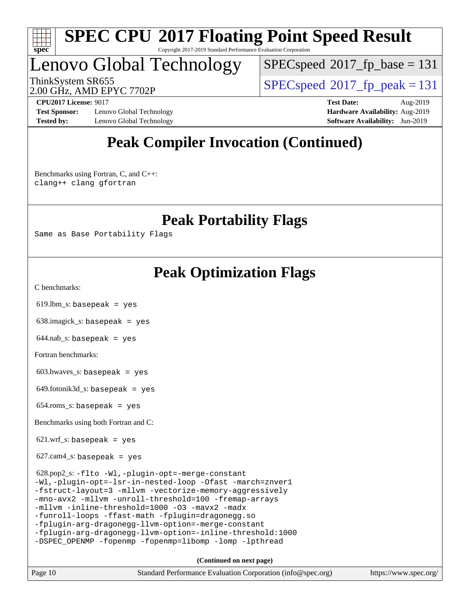

#### **[SPEC CPU](http://www.spec.org/auto/cpu2017/Docs/result-fields.html#SPECCPU2017FloatingPointSpeedResult)[2017 Floating Point Speed Result](http://www.spec.org/auto/cpu2017/Docs/result-fields.html#SPECCPU2017FloatingPointSpeedResult)** Copyright 2017-2019 Standard Performance Evaluation Corporation

## Lenovo Global Technology

[SPECspeed](http://www.spec.org/auto/cpu2017/Docs/result-fields.html#SPECspeed2017fpbase)<sup>®</sup>2017 fp base = 131

2.00 GHz, AMD EPYC 7702P

ThinkSystem SR655<br>2.00 CU<sub>7</sub> AMD EDVC 7702D

**[Test Sponsor:](http://www.spec.org/auto/cpu2017/Docs/result-fields.html#TestSponsor)** Lenovo Global Technology **[Hardware Availability:](http://www.spec.org/auto/cpu2017/Docs/result-fields.html#HardwareAvailability)** Aug-2019 **[Tested by:](http://www.spec.org/auto/cpu2017/Docs/result-fields.html#Testedby)** Lenovo Global Technology **[Software Availability:](http://www.spec.org/auto/cpu2017/Docs/result-fields.html#SoftwareAvailability)** Jun-2019

**[CPU2017 License:](http://www.spec.org/auto/cpu2017/Docs/result-fields.html#CPU2017License)** 9017 **[Test Date:](http://www.spec.org/auto/cpu2017/Docs/result-fields.html#TestDate)** Aug-2019

## **[Peak Compiler Invocation \(Continued\)](http://www.spec.org/auto/cpu2017/Docs/result-fields.html#PeakCompilerInvocation)**

[Benchmarks using Fortran, C, and C++:](http://www.spec.org/auto/cpu2017/Docs/result-fields.html#BenchmarksusingFortranCandCXX) [clang++](http://www.spec.org/cpu2017/results/res2019q3/cpu2017-20190819-16957.flags.html#user_CC_CXX_FCpeak_clang-cpp) [clang](http://www.spec.org/cpu2017/results/res2019q3/cpu2017-20190819-16957.flags.html#user_CC_CXX_FCpeak_clang-c) [gfortran](http://www.spec.org/cpu2017/results/res2019q3/cpu2017-20190819-16957.flags.html#user_CC_CXX_FCpeak_aocc-gfortran_128c91a56d61ddb07404721e65b8f9498c31a443dacbd3b7f212891090eca86e2d099b520f75b99e9e8ac4fdec01f4d15f0b65e47123ec4c42b0759045731a1f)

**[Peak Portability Flags](http://www.spec.org/auto/cpu2017/Docs/result-fields.html#PeakPortabilityFlags)**

Same as Base Portability Flags

### **[Peak Optimization Flags](http://www.spec.org/auto/cpu2017/Docs/result-fields.html#PeakOptimizationFlags)**

[C benchmarks](http://www.spec.org/auto/cpu2017/Docs/result-fields.html#Cbenchmarks):

619.lbm\_s: basepeak = yes

638.imagick\_s: basepeak = yes

 $644$ .nab\_s: basepeak = yes

[Fortran benchmarks](http://www.spec.org/auto/cpu2017/Docs/result-fields.html#Fortranbenchmarks):

 $603.bwaves$  s: basepeak = yes

 $649.$ fotonik $3d$ <sub>s</sub>: basepeak = yes

654.roms\_s: basepeak = yes

[Benchmarks using both Fortran and C](http://www.spec.org/auto/cpu2017/Docs/result-fields.html#BenchmarksusingbothFortranandC):

 $621.wrf$  s: basepeak = yes

 $627.cam4_s$ : basepeak = yes

 628.pop2\_s: [-flto](http://www.spec.org/cpu2017/results/res2019q3/cpu2017-20190819-16957.flags.html#user_peakCOPTIMIZEEXTRA_LDFLAGS628_pop2_s_aocc-flto) [-Wl,-plugin-opt=-merge-constant](http://www.spec.org/cpu2017/results/res2019q3/cpu2017-20190819-16957.flags.html#user_peakEXTRA_LDFLAGS628_pop2_s_F-merge-constant_1d79771b5442061d9c8e05556c6b0c655e6c9e66f8c6936b0129d434b6acd2b1cf1b7cd2540d1570ff636111b08a6bc36e2e61fc34531f8ef7c1a34c57be1dbb) [-Wl,-plugin-opt=-lsr-in-nested-loop](http://www.spec.org/cpu2017/results/res2019q3/cpu2017-20190819-16957.flags.html#user_peakEXTRA_LDFLAGS628_pop2_s_lsr-in-nested-loop_1cff93fd95162f5e77640b5271e8bed680fb62b4a8d96fb8ab217ff3244646f1fbb342e31af83c263403bbf5249c7dc7732d5c86c3eab4cc8d32dcb7a6f33ca0) [-Ofast](http://www.spec.org/cpu2017/results/res2019q3/cpu2017-20190819-16957.flags.html#user_peakCOPTIMIZE628_pop2_s_aocc-Ofast) [-march=znver1](http://www.spec.org/cpu2017/results/res2019q3/cpu2017-20190819-16957.flags.html#user_peakCOPTIMIZE628_pop2_s_aocc-march) [-fstruct-layout=3](http://www.spec.org/cpu2017/results/res2019q3/cpu2017-20190819-16957.flags.html#user_peakCOPTIMIZE628_pop2_s_struct-layout) [-mllvm -vectorize-memory-aggressively](http://www.spec.org/cpu2017/results/res2019q3/cpu2017-20190819-16957.flags.html#user_peakCOPTIMIZE628_pop2_s_vectorize-memory-aggressively_24b72a4417f50ade9e698c5b3bed87ab456cc6fc8ec6439480cb84f36ad6a3975af6e87206dea402e3871a1464ff3d60bc798e0250f330177ba629a260df1857) [-mno-avx2](http://www.spec.org/cpu2017/results/res2019q3/cpu2017-20190819-16957.flags.html#user_peakCOPTIMIZE628_pop2_s_F-mno-avx2) [-mllvm -unroll-threshold=100](http://www.spec.org/cpu2017/results/res2019q3/cpu2017-20190819-16957.flags.html#user_peakCOPTIMIZE628_pop2_s_unroll-threshold_2755d0c78138845d361fa1543e3a063fffa198df9b3edf0cfb856bbc88a81e1769b12ac7a550c5d35197be55360db1a3f95a8d1304df999456cabf5120c45168) [-fremap-arrays](http://www.spec.org/cpu2017/results/res2019q3/cpu2017-20190819-16957.flags.html#user_peakCOPTIMIZE628_pop2_s_F-fremap-arrays) [-mllvm -inline-threshold=1000](http://www.spec.org/cpu2017/results/res2019q3/cpu2017-20190819-16957.flags.html#user_peakCOPTIMIZE628_pop2_s_dragonegg-llvm-inline-threshold_b7832241b0a6397e4ecdbaf0eb7defdc10f885c2a282fa3240fdc99844d543fda39cf8a4a9dccf68cf19b5438ac3b455264f478df15da0f4988afa40d8243bab) [-O3](http://www.spec.org/cpu2017/results/res2019q3/cpu2017-20190819-16957.flags.html#user_peakFOPTIMIZE628_pop2_s_F-O3) [-mavx2](http://www.spec.org/cpu2017/results/res2019q3/cpu2017-20190819-16957.flags.html#user_peakFOPTIMIZE628_pop2_s_F-mavx2) [-madx](http://www.spec.org/cpu2017/results/res2019q3/cpu2017-20190819-16957.flags.html#user_peakFOPTIMIZE628_pop2_s_F-madx) [-funroll-loops](http://www.spec.org/cpu2017/results/res2019q3/cpu2017-20190819-16957.flags.html#user_peakFOPTIMIZE628_pop2_s_aocc-unroll-loops) [-ffast-math](http://www.spec.org/cpu2017/results/res2019q3/cpu2017-20190819-16957.flags.html#user_peakFOPTIMIZE628_pop2_s_aocc-ffast-math) [-fplugin=dragonegg.so](http://www.spec.org/cpu2017/results/res2019q3/cpu2017-20190819-16957.flags.html#user_peakEXTRA_FFLAGS628_pop2_s_plugin-DragonEgg) [-fplugin-arg-dragonegg-llvm-option=-merge-constant](http://www.spec.org/cpu2017/results/res2019q3/cpu2017-20190819-16957.flags.html#user_peakEXTRA_FFLAGS628_pop2_s_F-merge-constant_37fd66d07a4fbae8f1b816e843c3ed1ebaa48f794b65ea8be746a1880566a3d23eba4a3c37b5c024650311adcf9247c62af28144803b3729b14be14423fa5142) [-fplugin-arg-dragonegg-llvm-option=-inline-threshold:1000](http://www.spec.org/cpu2017/results/res2019q3/cpu2017-20190819-16957.flags.html#user_peakEXTRA_FFLAGS628_pop2_s_dragonegg-llvm-inline-threshold_eec74946bf81becf626625ea3f1757217b7f1e09b0c056df6f4a6dc542562255a9e8a6d36c454b3b2ed3e147f40cf87a14a68e01ad47a8b90b49f15f387f919f) [-DSPEC\\_OPENMP](http://www.spec.org/cpu2017/results/res2019q3/cpu2017-20190819-16957.flags.html#suite_peakEXTRA_OPTIMIZE628_pop2_s_DSPEC_OPENMP) [-fopenmp](http://www.spec.org/cpu2017/results/res2019q3/cpu2017-20190819-16957.flags.html#user_peakEXTRA_OPTIMIZE628_pop2_s_F-fopenmp) [-fopenmp=libomp](http://www.spec.org/cpu2017/results/res2019q3/cpu2017-20190819-16957.flags.html#user_peakEXTRA_LIBS628_pop2_s_F-fopenmp_3eb6ab80166bcc84161ff8c20c8d5bc344f88119f45620444596454f7d72e99b7a0ceefc2d1b4d190bd07306bbfdfc20f11f5a2dc69c9b03c72239f8406741c3) [-lomp](http://www.spec.org/cpu2017/results/res2019q3/cpu2017-20190819-16957.flags.html#user_peakEXTRA_LIBS628_pop2_s_F-lomp) [-lpthread](http://www.spec.org/cpu2017/results/res2019q3/cpu2017-20190819-16957.flags.html#user_peakEXTRA_LIBS628_pop2_s_F-lpthread)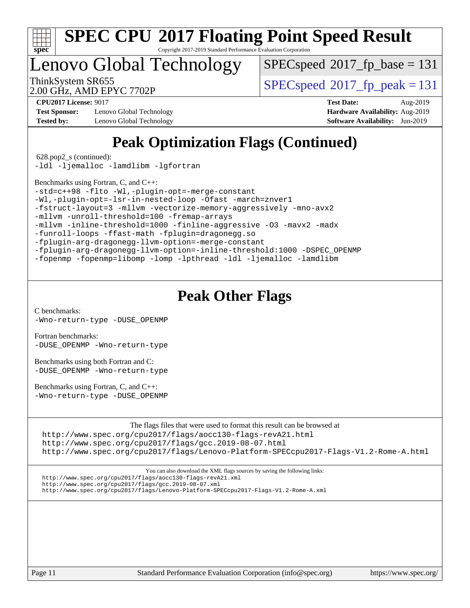

Copyright 2017-2019 Standard Performance Evaluation Corporation

Lenovo Global Technology

[SPECspeed](http://www.spec.org/auto/cpu2017/Docs/result-fields.html#SPECspeed2017fpbase)<sup>®</sup>2017 fp base = 131

2.00 GHz, AMD EPYC 7702P

ThinkSystem SR655<br>2.00 CU<sub>2</sub> AMD EDVC 7702D

**[Test Sponsor:](http://www.spec.org/auto/cpu2017/Docs/result-fields.html#TestSponsor)** Lenovo Global Technology **[Hardware Availability:](http://www.spec.org/auto/cpu2017/Docs/result-fields.html#HardwareAvailability)** Aug-2019 **[Tested by:](http://www.spec.org/auto/cpu2017/Docs/result-fields.html#Testedby)** Lenovo Global Technology **[Software Availability:](http://www.spec.org/auto/cpu2017/Docs/result-fields.html#SoftwareAvailability)** Jun-2019

**[CPU2017 License:](http://www.spec.org/auto/cpu2017/Docs/result-fields.html#CPU2017License)** 9017 **[Test Date:](http://www.spec.org/auto/cpu2017/Docs/result-fields.html#TestDate)** Aug-2019

## **[Peak Optimization Flags \(Continued\)](http://www.spec.org/auto/cpu2017/Docs/result-fields.html#PeakOptimizationFlags)**

628.pop2\_s (continued):

[-ldl](http://www.spec.org/cpu2017/results/res2019q3/cpu2017-20190819-16957.flags.html#user_peakEXTRA_LIBS628_pop2_s_F-ldl) [-ljemalloc](http://www.spec.org/cpu2017/results/res2019q3/cpu2017-20190819-16957.flags.html#user_peakEXTRA_LIBS628_pop2_s_jemalloc-lib) [-lamdlibm](http://www.spec.org/cpu2017/results/res2019q3/cpu2017-20190819-16957.flags.html#user_peakEXTRA_FLIBSEXTRA_LIBS628_pop2_s_F-lamdlibm) [-lgfortran](http://www.spec.org/cpu2017/results/res2019q3/cpu2017-20190819-16957.flags.html#user_peakEXTRA_FLIBS628_pop2_s_F-lgfortran)

[Benchmarks using Fortran, C, and C++:](http://www.spec.org/auto/cpu2017/Docs/result-fields.html#BenchmarksusingFortranCandCXX)

[-std=c++98](http://www.spec.org/cpu2017/results/res2019q3/cpu2017-20190819-16957.flags.html#user_CC_CXX_FCpeak_std-cpp) [-flto](http://www.spec.org/cpu2017/results/res2019q3/cpu2017-20190819-16957.flags.html#user_CC_CXX_FCpeak_aocc-flto) [-Wl,-plugin-opt=-merge-constant](http://www.spec.org/cpu2017/results/res2019q3/cpu2017-20190819-16957.flags.html#user_CC_CXX_FCpeak_F-merge-constant_1d79771b5442061d9c8e05556c6b0c655e6c9e66f8c6936b0129d434b6acd2b1cf1b7cd2540d1570ff636111b08a6bc36e2e61fc34531f8ef7c1a34c57be1dbb)

[-Wl,-plugin-opt=-lsr-in-nested-loop](http://www.spec.org/cpu2017/results/res2019q3/cpu2017-20190819-16957.flags.html#user_CC_CXX_FCpeak_lsr-in-nested-loop_1cff93fd95162f5e77640b5271e8bed680fb62b4a8d96fb8ab217ff3244646f1fbb342e31af83c263403bbf5249c7dc7732d5c86c3eab4cc8d32dcb7a6f33ca0) [-Ofast](http://www.spec.org/cpu2017/results/res2019q3/cpu2017-20190819-16957.flags.html#user_CC_CXX_FCpeak_aocc-Ofast) [-march=znver1](http://www.spec.org/cpu2017/results/res2019q3/cpu2017-20190819-16957.flags.html#user_CC_CXX_FCpeak_aocc-march)

[-fstruct-layout=3](http://www.spec.org/cpu2017/results/res2019q3/cpu2017-20190819-16957.flags.html#user_CC_CXX_FCpeak_struct-layout) [-mllvm -vectorize-memory-aggressively](http://www.spec.org/cpu2017/results/res2019q3/cpu2017-20190819-16957.flags.html#user_CC_CXX_FCpeak_vectorize-memory-aggressively_24b72a4417f50ade9e698c5b3bed87ab456cc6fc8ec6439480cb84f36ad6a3975af6e87206dea402e3871a1464ff3d60bc798e0250f330177ba629a260df1857) [-mno-avx2](http://www.spec.org/cpu2017/results/res2019q3/cpu2017-20190819-16957.flags.html#user_CC_CXX_FCpeak_F-mno-avx2)

[-mllvm -unroll-threshold=100](http://www.spec.org/cpu2017/results/res2019q3/cpu2017-20190819-16957.flags.html#user_CC_CXX_FCpeak_unroll-threshold_2755d0c78138845d361fa1543e3a063fffa198df9b3edf0cfb856bbc88a81e1769b12ac7a550c5d35197be55360db1a3f95a8d1304df999456cabf5120c45168) [-fremap-arrays](http://www.spec.org/cpu2017/results/res2019q3/cpu2017-20190819-16957.flags.html#user_CC_CXX_FCpeak_F-fremap-arrays)

[-mllvm -inline-threshold=1000](http://www.spec.org/cpu2017/results/res2019q3/cpu2017-20190819-16957.flags.html#user_CC_CXX_FCpeak_dragonegg-llvm-inline-threshold_b7832241b0a6397e4ecdbaf0eb7defdc10f885c2a282fa3240fdc99844d543fda39cf8a4a9dccf68cf19b5438ac3b455264f478df15da0f4988afa40d8243bab) [-finline-aggressive](http://www.spec.org/cpu2017/results/res2019q3/cpu2017-20190819-16957.flags.html#user_CC_CXX_FCpeak_F-finline-aggressive) [-O3](http://www.spec.org/cpu2017/results/res2019q3/cpu2017-20190819-16957.flags.html#user_CC_CXX_FCpeak_F-O3) [-mavx2](http://www.spec.org/cpu2017/results/res2019q3/cpu2017-20190819-16957.flags.html#user_CC_CXX_FCpeak_F-mavx2) [-madx](http://www.spec.org/cpu2017/results/res2019q3/cpu2017-20190819-16957.flags.html#user_CC_CXX_FCpeak_F-madx)

[-funroll-loops](http://www.spec.org/cpu2017/results/res2019q3/cpu2017-20190819-16957.flags.html#user_CC_CXX_FCpeak_aocc-unroll-loops) [-ffast-math](http://www.spec.org/cpu2017/results/res2019q3/cpu2017-20190819-16957.flags.html#user_CC_CXX_FCpeak_aocc-ffast-math) [-fplugin=dragonegg.so](http://www.spec.org/cpu2017/results/res2019q3/cpu2017-20190819-16957.flags.html#user_CC_CXX_FCpeak_plugin-DragonEgg)

[-fplugin-arg-dragonegg-llvm-option=-merge-constant](http://www.spec.org/cpu2017/results/res2019q3/cpu2017-20190819-16957.flags.html#user_CC_CXX_FCpeak_F-merge-constant_37fd66d07a4fbae8f1b816e843c3ed1ebaa48f794b65ea8be746a1880566a3d23eba4a3c37b5c024650311adcf9247c62af28144803b3729b14be14423fa5142)

[-fplugin-arg-dragonegg-llvm-option=-inline-threshold:1000](http://www.spec.org/cpu2017/results/res2019q3/cpu2017-20190819-16957.flags.html#user_CC_CXX_FCpeak_dragonegg-llvm-inline-threshold_eec74946bf81becf626625ea3f1757217b7f1e09b0c056df6f4a6dc542562255a9e8a6d36c454b3b2ed3e147f40cf87a14a68e01ad47a8b90b49f15f387f919f) [-DSPEC\\_OPENMP](http://www.spec.org/cpu2017/results/res2019q3/cpu2017-20190819-16957.flags.html#suite_CC_CXX_FCpeak_DSPEC_OPENMP)

[-fopenmp](http://www.spec.org/cpu2017/results/res2019q3/cpu2017-20190819-16957.flags.html#user_CC_CXX_FCpeak_F-fopenmp) [-fopenmp=libomp](http://www.spec.org/cpu2017/results/res2019q3/cpu2017-20190819-16957.flags.html#user_CC_CXX_FCpeak_F-fopenmp_3eb6ab80166bcc84161ff8c20c8d5bc344f88119f45620444596454f7d72e99b7a0ceefc2d1b4d190bd07306bbfdfc20f11f5a2dc69c9b03c72239f8406741c3) [-lomp](http://www.spec.org/cpu2017/results/res2019q3/cpu2017-20190819-16957.flags.html#user_CC_CXX_FCpeak_F-lomp) [-lpthread](http://www.spec.org/cpu2017/results/res2019q3/cpu2017-20190819-16957.flags.html#user_CC_CXX_FCpeak_F-lpthread) [-ldl](http://www.spec.org/cpu2017/results/res2019q3/cpu2017-20190819-16957.flags.html#user_CC_CXX_FCpeak_F-ldl) [-ljemalloc](http://www.spec.org/cpu2017/results/res2019q3/cpu2017-20190819-16957.flags.html#user_CC_CXX_FCpeak_jemalloc-lib) [-lamdlibm](http://www.spec.org/cpu2017/results/res2019q3/cpu2017-20190819-16957.flags.html#user_CC_CXX_FCpeak_F-lamdlibm)

### **[Peak Other Flags](http://www.spec.org/auto/cpu2017/Docs/result-fields.html#PeakOtherFlags)**

[C benchmarks](http://www.spec.org/auto/cpu2017/Docs/result-fields.html#Cbenchmarks):

[-Wno-return-type](http://www.spec.org/cpu2017/results/res2019q3/cpu2017-20190819-16957.flags.html#user_CCpeak_F-Wno-return-type) [-DUSE\\_OPENMP](http://www.spec.org/cpu2017/results/res2019q3/cpu2017-20190819-16957.flags.html#user_CCpeak_F-DUSE_OPENMP)

[Fortran benchmarks](http://www.spec.org/auto/cpu2017/Docs/result-fields.html#Fortranbenchmarks): [-DUSE\\_OPENMP](http://www.spec.org/cpu2017/results/res2019q3/cpu2017-20190819-16957.flags.html#user_FCpeak_F-DUSE_OPENMP) [-Wno-return-type](http://www.spec.org/cpu2017/results/res2019q3/cpu2017-20190819-16957.flags.html#user_FCpeak_F-Wno-return-type)

[Benchmarks using both Fortran and C](http://www.spec.org/auto/cpu2017/Docs/result-fields.html#BenchmarksusingbothFortranandC): [-DUSE\\_OPENMP](http://www.spec.org/cpu2017/results/res2019q3/cpu2017-20190819-16957.flags.html#user_CC_FCpeak_F-DUSE_OPENMP) [-Wno-return-type](http://www.spec.org/cpu2017/results/res2019q3/cpu2017-20190819-16957.flags.html#user_CC_FCpeak_F-Wno-return-type)

[Benchmarks using Fortran, C, and C++:](http://www.spec.org/auto/cpu2017/Docs/result-fields.html#BenchmarksusingFortranCandCXX) [-Wno-return-type](http://www.spec.org/cpu2017/results/res2019q3/cpu2017-20190819-16957.flags.html#user_CC_CXX_FCpeak_F-Wno-return-type) [-DUSE\\_OPENMP](http://www.spec.org/cpu2017/results/res2019q3/cpu2017-20190819-16957.flags.html#user_CC_CXX_FCpeak_F-DUSE_OPENMP)

[The flags files that were used to format this result can be browsed at](tmsearch)

<http://www.spec.org/cpu2017/flags/aocc130-flags-revA21.html> <http://www.spec.org/cpu2017/flags/gcc.2019-08-07.html> <http://www.spec.org/cpu2017/flags/Lenovo-Platform-SPECcpu2017-Flags-V1.2-Rome-A.html>

[You can also download the XML flags sources by saving the following links:](tmsearch)

<http://www.spec.org/cpu2017/flags/aocc130-flags-revA21.xml>

<http://www.spec.org/cpu2017/flags/gcc.2019-08-07.xml>

<http://www.spec.org/cpu2017/flags/Lenovo-Platform-SPECcpu2017-Flags-V1.2-Rome-A.xml>